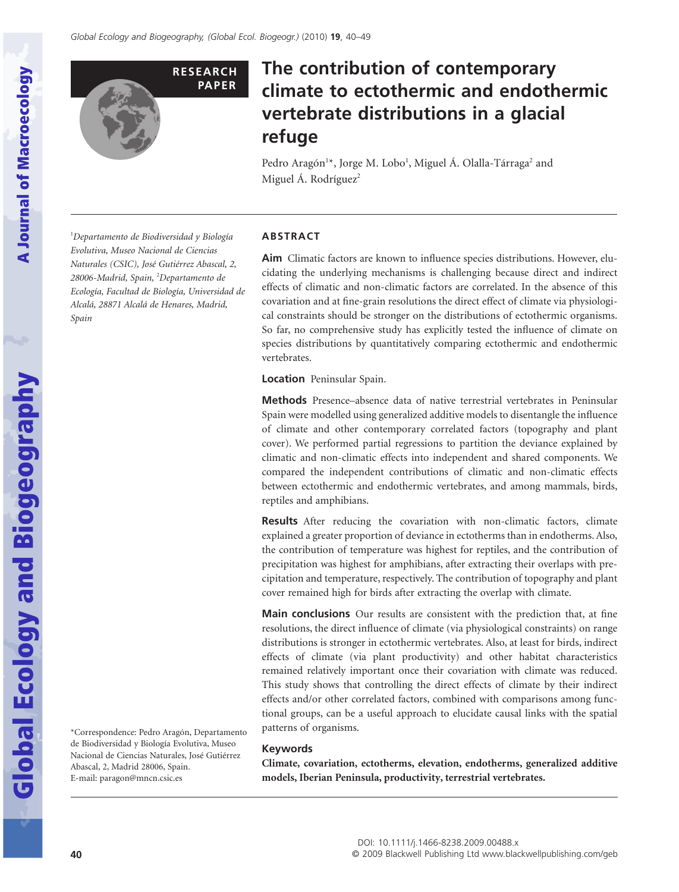**Global Ecology and Biogeography** 



# **The contribution of contemporary climate to ectothermic and endothermic vertebrate distributions in a glacial** refuge

Pedro Aragón<sup>1</sup>\*, Jorge M. Lobo<sup>1</sup>, Miguel Á. Olalla-Tárraga<sup>2</sup> and Miguel Á. Rodríguez $^2$ 

1 *Departamento de Biodiversidad y Biología Evolutiva, Museo Nacional de Ciencias Naturales (CSIC), José Gutiérrez Abascal, 2, 28006-Madrid, Spain,* <sup>2</sup> *Departamento de Ecología, Facultad de Biología, Universidad de Alcalá, 28871 Alcalá de Henares, Madrid, Spain*

#### **ABSTRACT**

**Aim** Climatic factors are known to influence species distributions. However, elucidating the underlying mechanisms is challenging because direct and indirect effects of climatic and non-climatic factors are correlated. In the absence of this covariation and at fine-grain resolutions the direct effect of climate via physiological constraints should be stronger on the distributions of ectothermic organisms. So far, no comprehensive study has explicitly tested the influence of climate on species distributions by quantitatively comparing ectothermic and endothermic vertebrates.

**Location** Peninsular Spain.

**Methods** Presence–absence data of native terrestrial vertebrates in Peninsular Spain were modelled using generalized additive models to disentangle the influence of climate and other contemporary correlated factors (topography and plant cover). We performed partial regressions to partition the deviance explained by climatic and non-climatic effects into independent and shared components. We compared the independent contributions of climatic and non-climatic effects between ectothermic and endothermic vertebrates, and among mammals, birds, reptiles and amphibians.

**Results** After reducing the covariation with non-climatic factors, climate explained a greater proportion of deviance in ectotherms than in endotherms. Also, the contribution of temperature was highest for reptiles, and the contribution of precipitation was highest for amphibians, after extracting their overlaps with precipitation and temperature, respectively. The contribution of topography and plant cover remained high for birds after extracting the overlap with climate.

**Main conclusions** Our results are consistent with the prediction that, at fine resolutions, the direct influence of climate (via physiological constraints) on range distributions is stronger in ectothermic vertebrates. Also, at least for birds, indirect effects of climate (via plant productivity) and other habitat characteristics remained relatively important once their covariation with climate was reduced. This study shows that controlling the direct effects of climate by their indirect effects and/or other correlated factors, combined with comparisons among functional groups, can be a useful approach to elucidate causal links with the spatial patterns of organisms.

#### **Keywords**

**Climate, covariation, ectotherms, elevation, endotherms, generalized additive models, Iberian Peninsula, productivity, terrestrial vertebrates.**

\*Correspondence: Pedro Aragón, Departamento de Biodiversidad y Biología Evolutiva, Museo Nacional de Ciencias Naturales, José Gutiérrez Abascal, 2, Madrid 28006, Spain. E-mail: paragon@mncn.csic.es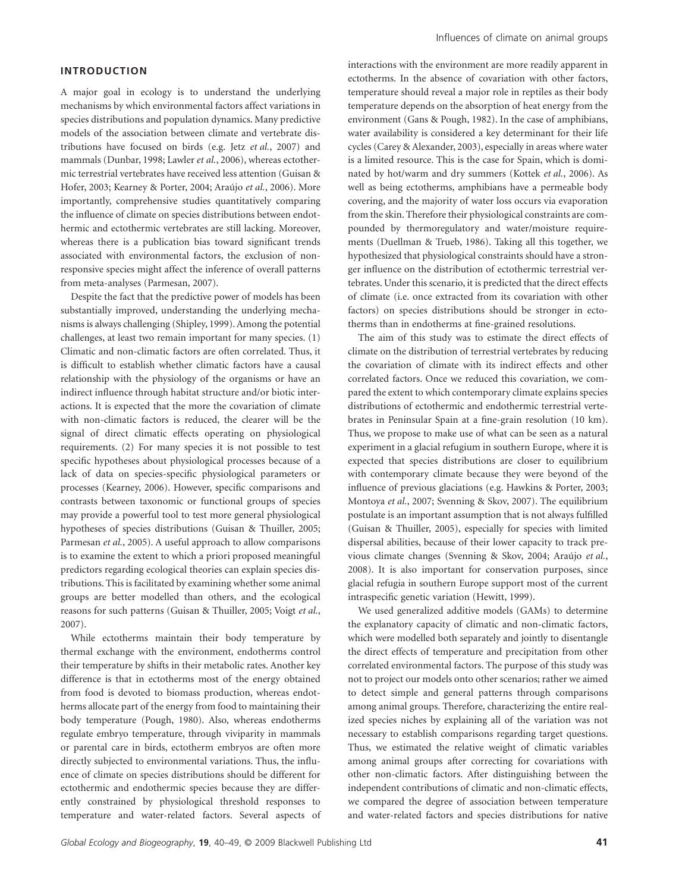## **INTRODUCTION**

A major goal in ecology is to understand the underlying mechanisms by which environmental factors affect variations in species distributions and population dynamics. Many predictive models of the association between climate and vertebrate distributions have focused on birds (e.g. Jetz *et al.*, 2007) and mammals (Dunbar, 1998; Lawler *et al.*, 2006), whereas ectothermic terrestrial vertebrates have received less attention (Guisan & Hofer, 2003; Kearney & Porter, 2004; Araújo *et al.*, 2006). More importantly, comprehensive studies quantitatively comparing the influence of climate on species distributions between endothermic and ectothermic vertebrates are still lacking. Moreover, whereas there is a publication bias toward significant trends associated with environmental factors, the exclusion of nonresponsive species might affect the inference of overall patterns from meta-analyses (Parmesan, 2007).

Despite the fact that the predictive power of models has been substantially improved, understanding the underlying mechanisms is always challenging (Shipley, 1999). Among the potential challenges, at least two remain important for many species. (1) Climatic and non-climatic factors are often correlated. Thus, it is difficult to establish whether climatic factors have a causal relationship with the physiology of the organisms or have an indirect influence through habitat structure and/or biotic interactions. It is expected that the more the covariation of climate with non-climatic factors is reduced, the clearer will be the signal of direct climatic effects operating on physiological requirements. (2) For many species it is not possible to test specific hypotheses about physiological processes because of a lack of data on species-specific physiological parameters or processes (Kearney, 2006). However, specific comparisons and contrasts between taxonomic or functional groups of species may provide a powerful tool to test more general physiological hypotheses of species distributions (Guisan & Thuiller, 2005; Parmesan *et al.*, 2005). A useful approach to allow comparisons is to examine the extent to which a priori proposed meaningful predictors regarding ecological theories can explain species distributions. This is facilitated by examining whether some animal groups are better modelled than others, and the ecological reasons for such patterns (Guisan & Thuiller, 2005; Voigt *et al.*, 2007).

While ectotherms maintain their body temperature by thermal exchange with the environment, endotherms control their temperature by shifts in their metabolic rates. Another key difference is that in ectotherms most of the energy obtained from food is devoted to biomass production, whereas endotherms allocate part of the energy from food to maintaining their body temperature (Pough, 1980). Also, whereas endotherms regulate embryo temperature, through viviparity in mammals or parental care in birds, ectotherm embryos are often more directly subjected to environmental variations. Thus, the influence of climate on species distributions should be different for ectothermic and endothermic species because they are differently constrained by physiological threshold responses to temperature and water-related factors. Several aspects of interactions with the environment are more readily apparent in ectotherms. In the absence of covariation with other factors, temperature should reveal a major role in reptiles as their body temperature depends on the absorption of heat energy from the environment (Gans & Pough, 1982). In the case of amphibians, water availability is considered a key determinant for their life cycles (Carey & Alexander, 2003), especially in areas where water is a limited resource. This is the case for Spain, which is dominated by hot/warm and dry summers (Kottek *et al.*, 2006). As well as being ectotherms, amphibians have a permeable body covering, and the majority of water loss occurs via evaporation from the skin. Therefore their physiological constraints are compounded by thermoregulatory and water/moisture requirements (Duellman & Trueb, 1986). Taking all this together, we hypothesized that physiological constraints should have a stronger influence on the distribution of ectothermic terrestrial vertebrates. Under this scenario, it is predicted that the direct effects of climate (i.e. once extracted from its covariation with other factors) on species distributions should be stronger in ectotherms than in endotherms at fine-grained resolutions.

The aim of this study was to estimate the direct effects of climate on the distribution of terrestrial vertebrates by reducing the covariation of climate with its indirect effects and other correlated factors. Once we reduced this covariation, we compared the extent to which contemporary climate explains species distributions of ectothermic and endothermic terrestrial vertebrates in Peninsular Spain at a fine-grain resolution (10 km). Thus, we propose to make use of what can be seen as a natural experiment in a glacial refugium in southern Europe, where it is expected that species distributions are closer to equilibrium with contemporary climate because they were beyond of the influence of previous glaciations (e.g. Hawkins & Porter, 2003; Montoya *et al.*, 2007; Svenning & Skov, 2007). The equilibrium postulate is an important assumption that is not always fulfilled (Guisan & Thuiller, 2005), especially for species with limited dispersal abilities, because of their lower capacity to track previous climate changes (Svenning & Skov, 2004; Araújo *et al.*, 2008). It is also important for conservation purposes, since glacial refugia in southern Europe support most of the current intraspecific genetic variation (Hewitt, 1999).

We used generalized additive models (GAMs) to determine the explanatory capacity of climatic and non-climatic factors, which were modelled both separately and jointly to disentangle the direct effects of temperature and precipitation from other correlated environmental factors. The purpose of this study was not to project our models onto other scenarios; rather we aimed to detect simple and general patterns through comparisons among animal groups. Therefore, characterizing the entire realized species niches by explaining all of the variation was not necessary to establish comparisons regarding target questions. Thus, we estimated the relative weight of climatic variables among animal groups after correcting for covariations with other non-climatic factors. After distinguishing between the independent contributions of climatic and non-climatic effects, we compared the degree of association between temperature and water-related factors and species distributions for native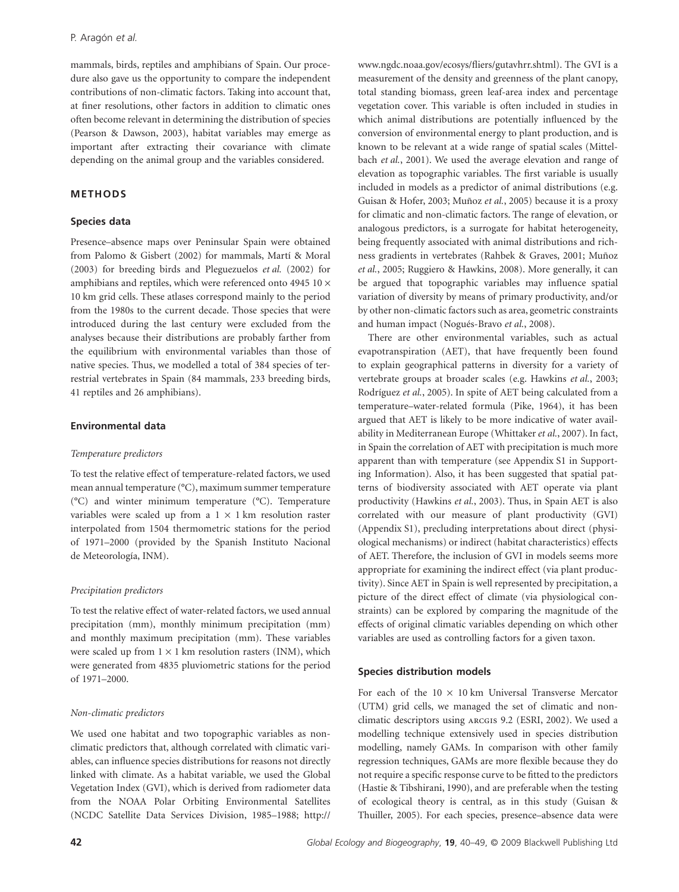mammals, birds, reptiles and amphibians of Spain. Our procedure also gave us the opportunity to compare the independent contributions of non-climatic factors. Taking into account that, at finer resolutions, other factors in addition to climatic ones often become relevant in determining the distribution of species (Pearson & Dawson, 2003), habitat variables may emerge as important after extracting their covariance with climate depending on the animal group and the variables considered.

# **METHODS**

#### **Species data**

Presence–absence maps over Peninsular Spain were obtained from Palomo & Gisbert (2002) for mammals, Martí & Moral (2003) for breeding birds and Pleguezuelos *et al.* (2002) for amphibians and reptiles, which were referenced onto 4945  $10 \times$ 10 km grid cells. These atlases correspond mainly to the period from the 1980s to the current decade. Those species that were introduced during the last century were excluded from the analyses because their distributions are probably farther from the equilibrium with environmental variables than those of native species. Thus, we modelled a total of 384 species of terrestrial vertebrates in Spain (84 mammals, 233 breeding birds, 41 reptiles and 26 amphibians).

## **Environmental data**

#### *Temperature predictors*

To test the relative effect of temperature-related factors, we used mean annual temperature (°C), maximum summer temperature (°C) and winter minimum temperature (°C). Temperature variables were scaled up from a  $1 \times 1$  km resolution raster interpolated from 1504 thermometric stations for the period of 1971–2000 (provided by the Spanish Instituto Nacional de Meteorología, INM).

#### *Precipitation predictors*

To test the relative effect of water-related factors, we used annual precipitation (mm), monthly minimum precipitation (mm) and monthly maximum precipitation (mm). These variables were scaled up from  $1 \times 1$  km resolution rasters (INM), which were generated from 4835 pluviometric stations for the period of 1971–2000.

#### *Non-climatic predictors*

We used one habitat and two topographic variables as nonclimatic predictors that, although correlated with climatic variables, can influence species distributions for reasons not directly linked with climate. As a habitat variable, we used the Global Vegetation Index (GVI), which is derived from radiometer data from the NOAA Polar Orbiting Environmental Satellites (NCDC Satellite Data Services Division, 1985–1988; http:// www.ngdc.noaa.gov/ecosys/fliers/gutavhrr.shtml). The GVI is a measurement of the density and greenness of the plant canopy, total standing biomass, green leaf-area index and percentage vegetation cover. This variable is often included in studies in which animal distributions are potentially influenced by the conversion of environmental energy to plant production, and is known to be relevant at a wide range of spatial scales (Mittelbach *et al.*, 2001). We used the average elevation and range of elevation as topographic variables. The first variable is usually included in models as a predictor of animal distributions (e.g. Guisan & Hofer, 2003; Muñoz *et al.*, 2005) because it is a proxy for climatic and non-climatic factors. The range of elevation, or analogous predictors, is a surrogate for habitat heterogeneity, being frequently associated with animal distributions and richness gradients in vertebrates (Rahbek & Graves, 2001; Muñoz *et al.*, 2005; Ruggiero & Hawkins, 2008). More generally, it can be argued that topographic variables may influence spatial variation of diversity by means of primary productivity, and/or by other non-climatic factors such as area, geometric constraints and human impact (Nogués-Bravo *et al.*, 2008).

There are other environmental variables, such as actual evapotranspiration (AET), that have frequently been found to explain geographical patterns in diversity for a variety of vertebrate groups at broader scales (e.g. Hawkins *et al.*, 2003; Rodríguez *et al.*, 2005). In spite of AET being calculated from a temperature–water-related formula (Pike, 1964), it has been argued that AET is likely to be more indicative of water availability in Mediterranean Europe (Whittaker *et al.*, 2007). In fact, in Spain the correlation of AET with precipitation is much more apparent than with temperature (see Appendix S1 in Supporting Information). Also, it has been suggested that spatial patterns of biodiversity associated with AET operate via plant productivity (Hawkins *et al.*, 2003). Thus, in Spain AET is also correlated with our measure of plant productivity (GVI) (Appendix S1), precluding interpretations about direct (physiological mechanisms) or indirect (habitat characteristics) effects of AET. Therefore, the inclusion of GVI in models seems more appropriate for examining the indirect effect (via plant productivity). Since AET in Spain is well represented by precipitation, a picture of the direct effect of climate (via physiological constraints) can be explored by comparing the magnitude of the effects of original climatic variables depending on which other variables are used as controlling factors for a given taxon.

#### **Species distribution models**

For each of the  $10 \times 10$  km Universal Transverse Mercator (UTM) grid cells, we managed the set of climatic and nonclimatic descriptors using arcgis 9.2 (ESRI, 2002). We used a modelling technique extensively used in species distribution modelling, namely GAMs. In comparison with other family regression techniques, GAMs are more flexible because they do not require a specific response curve to be fitted to the predictors (Hastie & Tibshirani, 1990), and are preferable when the testing of ecological theory is central, as in this study (Guisan & Thuiller, 2005). For each species, presence–absence data were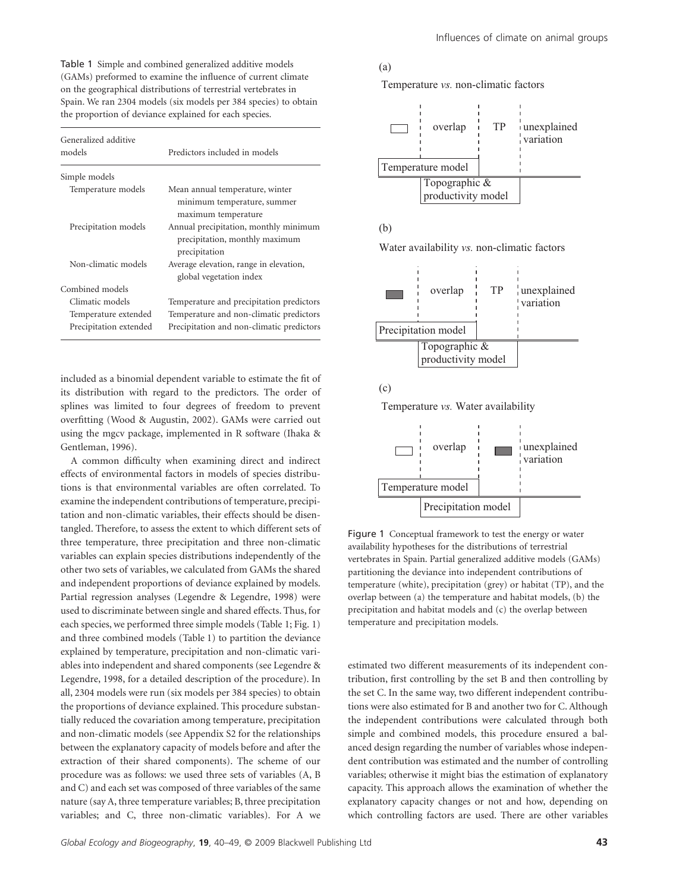Table 1 Simple and combined generalized additive models (GAMs) preformed to examine the influence of current climate on the geographical distributions of terrestrial vertebrates in Spain. We ran 2304 models (six models per 384 species) to obtain the proportion of deviance explained for each species.

| Generalized additive<br>models                                    | Predictors included in models                                                                                                    |
|-------------------------------------------------------------------|----------------------------------------------------------------------------------------------------------------------------------|
| Simple models                                                     |                                                                                                                                  |
| Temperature models                                                | Mean annual temperature, winter<br>minimum temperature, summer<br>maximum temperature                                            |
| Precipitation models                                              | Annual precipitation, monthly minimum<br>precipitation, monthly maximum<br>precipitation                                         |
| Non-climatic models                                               | Average elevation, range in elevation,<br>global vegetation index                                                                |
| Combined models                                                   |                                                                                                                                  |
| Climatic models<br>Temperature extended<br>Precipitation extended | Temperature and precipitation predictors<br>Temperature and non-climatic predictors<br>Precipitation and non-climatic predictors |

included as a binomial dependent variable to estimate the fit of its distribution with regard to the predictors. The order of splines was limited to four degrees of freedom to prevent overfitting (Wood & Augustin, 2002). GAMs were carried out using the mgcv package, implemented in R software (Ihaka & Gentleman, 1996).

A common difficulty when examining direct and indirect effects of environmental factors in models of species distributions is that environmental variables are often correlated. To examine the independent contributions of temperature, precipitation and non-climatic variables, their effects should be disentangled. Therefore, to assess the extent to which different sets of three temperature, three precipitation and three non-climatic variables can explain species distributions independently of the other two sets of variables, we calculated from GAMs the shared and independent proportions of deviance explained by models. Partial regression analyses (Legendre & Legendre, 1998) were used to discriminate between single and shared effects. Thus, for each species, we performed three simple models (Table 1; Fig. 1) and three combined models (Table 1) to partition the deviance explained by temperature, precipitation and non-climatic variables into independent and shared components (see Legendre & Legendre, 1998, for a detailed description of the procedure). In all, 2304 models were run (six models per 384 species) to obtain the proportions of deviance explained. This procedure substantially reduced the covariation among temperature, precipitation and non-climatic models (see Appendix S2 for the relationships between the explanatory capacity of models before and after the extraction of their shared components). The scheme of our procedure was as follows: we used three sets of variables (A, B and C) and each set was composed of three variables of the same nature (say A, three temperature variables; B, three precipitation variables; and C, three non-climatic variables). For A we (a)





(b)







Figure 1 Conceptual framework to test the energy or water availability hypotheses for the distributions of terrestrial vertebrates in Spain. Partial generalized additive models (GAMs) partitioning the deviance into independent contributions of temperature (white), precipitation (grey) or habitat (TP), and the overlap between (a) the temperature and habitat models, (b) the precipitation and habitat models and (c) the overlap between temperature and precipitation models.

estimated two different measurements of its independent contribution, first controlling by the set B and then controlling by the set C. In the same way, two different independent contributions were also estimated for B and another two for C. Although the independent contributions were calculated through both simple and combined models, this procedure ensured a balanced design regarding the number of variables whose independent contribution was estimated and the number of controlling variables; otherwise it might bias the estimation of explanatory capacity. This approach allows the examination of whether the explanatory capacity changes or not and how, depending on which controlling factors are used. There are other variables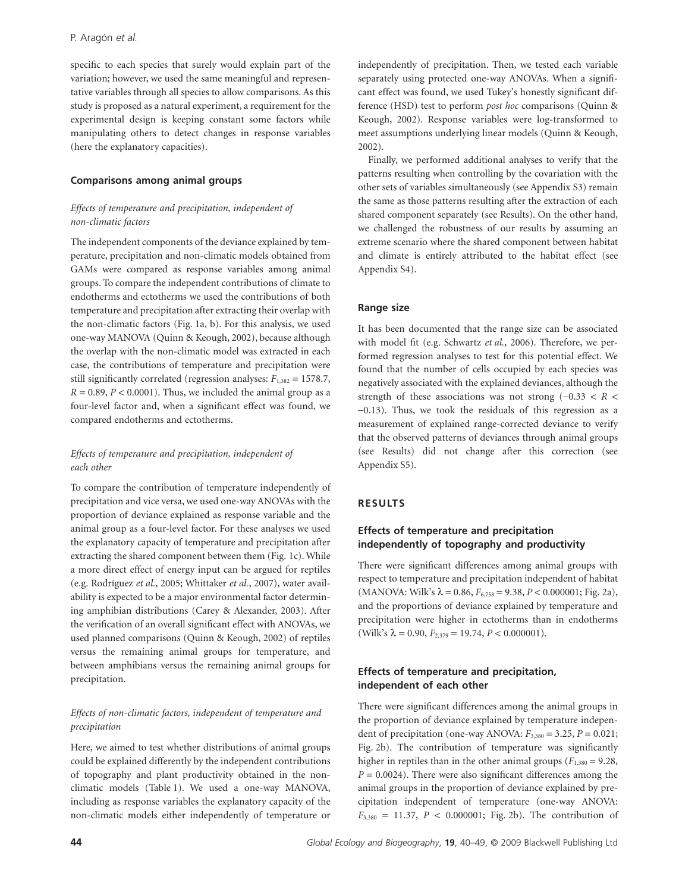specific to each species that surely would explain part of the variation; however, we used the same meaningful and representative variables through all species to allow comparisons. As this study is proposed as a natural experiment, a requirement for the experimental design is keeping constant some factors while manipulating others to detect changes in response variables (here the explanatory capacities).

#### **Comparisons among animal groups**

## *Effects of temperature and precipitation, independent of non-climatic factors*

The independent components of the deviance explained by temperature, precipitation and non-climatic models obtained from GAMs were compared as response variables among animal groups. To compare the independent contributions of climate to endotherms and ectotherms we used the contributions of both temperature and precipitation after extracting their overlap with the non-climatic factors (Fig. 1a, b). For this analysis, we used one-way MANOVA (Quinn & Keough, 2002), because although the overlap with the non-climatic model was extracted in each case, the contributions of temperature and precipitation were still significantly correlated (regression analyses:  $F_{1,382} = 1578.7$ ,  $R = 0.89$ ,  $P < 0.0001$ ). Thus, we included the animal group as a four-level factor and, when a significant effect was found, we compared endotherms and ectotherms.

## *Effects of temperature and precipitation, independent of each other*

To compare the contribution of temperature independently of precipitation and vice versa, we used one-way ANOVAs with the proportion of deviance explained as response variable and the animal group as a four-level factor. For these analyses we used the explanatory capacity of temperature and precipitation after extracting the shared component between them (Fig. 1c). While a more direct effect of energy input can be argued for reptiles (e.g. Rodríguez *et al.*, 2005; Whittaker *et al.*, 2007), water availability is expected to be a major environmental factor determining amphibian distributions (Carey & Alexander, 2003). After the verification of an overall significant effect with ANOVAs, we used planned comparisons (Quinn & Keough, 2002) of reptiles versus the remaining animal groups for temperature, and between amphibians versus the remaining animal groups for precipitation.

# *Effects of non-climatic factors, independent of temperature and precipitation*

Here, we aimed to test whether distributions of animal groups could be explained differently by the independent contributions of topography and plant productivity obtained in the nonclimatic models (Table 1). We used a one-way MANOVA, including as response variables the explanatory capacity of the non-climatic models either independently of temperature or independently of precipitation. Then, we tested each variable separately using protected one-way ANOVAs. When a significant effect was found, we used Tukey's honestly significant difference (HSD) test to perform *post hoc* comparisons (Quinn & Keough, 2002). Response variables were log-transformed to meet assumptions underlying linear models (Quinn & Keough, 2002).

Finally, we performed additional analyses to verify that the patterns resulting when controlling by the covariation with the other sets of variables simultaneously (see Appendix S3) remain the same as those patterns resulting after the extraction of each shared component separately (see Results). On the other hand, we challenged the robustness of our results by assuming an extreme scenario where the shared component between habitat and climate is entirely attributed to the habitat effect (see Appendix S4).

## **Range size**

It has been documented that the range size can be associated with model fit (e.g. Schwartz *et al.*, 2006). Therefore, we performed regression analyses to test for this potential effect. We found that the number of cells occupied by each species was negatively associated with the explained deviances, although the strength of these associations was not strong  $(-0.33 < R <$ -0.13). Thus, we took the residuals of this regression as a measurement of explained range-corrected deviance to verify that the observed patterns of deviances through animal groups (see Results) did not change after this correction (see Appendix S5).

#### **RESULTS**

# **Effects of temperature and precipitation independently of topography and productivity**

There were significant differences among animal groups with respect to temperature and precipitation independent of habitat  $(MANOVA: Wilk's \lambda = 0.86, F_{6,758} = 9.38, P < 0.000001; Fig. 2a),$ and the proportions of deviance explained by temperature and precipitation were higher in ectotherms than in endotherms (Wilk's  $\lambda = 0.90$ ,  $F_{2,379} = 19.74$ ,  $P < 0.000001$ ).

# **Effects of temperature and precipitation, independent of each other**

There were significant differences among the animal groups in the proportion of deviance explained by temperature independent of precipitation (one-way ANOVA:  $F_{3,380} = 3.25$ ,  $P = 0.021$ ; Fig. 2b). The contribution of temperature was significantly higher in reptiles than in the other animal groups  $(F_{1,380} = 9.28$ ,  $P = 0.0024$ . There were also significant differences among the animal groups in the proportion of deviance explained by precipitation independent of temperature (one-way ANOVA: *F*3,380 = 11.37, *P* < 0.000001; Fig. 2b). The contribution of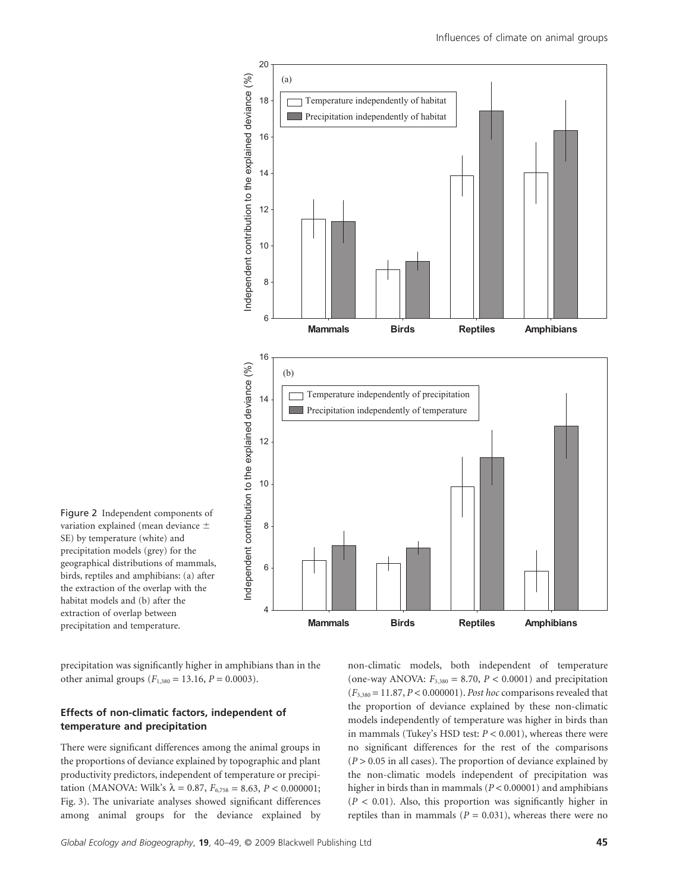

Figure 2 Independent components of variation explained (mean deviance  $\pm$ SE) by temperature (white) and precipitation models (grey) for the geographical distributions of mammals, birds, reptiles and amphibians: (a) after the extraction of the overlap with the habitat models and (b) after the extraction of overlap between precipitation and temperature.

precipitation was significantly higher in amphibians than in the other animal groups  $(F_{1,380} = 13.16, P = 0.0003)$ .

# **Effects of non-climatic factors, independent of temperature and precipitation**

There were significant differences among the animal groups in the proportions of deviance explained by topographic and plant productivity predictors, independent of temperature or precipitation (MANOVA: Wilk's  $\lambda = 0.87$ ,  $F_{6,758} = 8.63$ ,  $P < 0.000001$ ; Fig. 3). The univariate analyses showed significant differences among animal groups for the deviance explained by non-climatic models, both independent of temperature (one-way ANOVA: *F*3,380 = 8.70, *P* < 0.0001) and precipitation (*F*3,380 = 11.87, *P* < 0.000001). *Post hoc* comparisons revealed that the proportion of deviance explained by these non-climatic models independently of temperature was higher in birds than in mammals (Tukey's HSD test: *P* < 0.001), whereas there were no significant differences for the rest of the comparisons  $(P > 0.05$  in all cases). The proportion of deviance explained by the non-climatic models independent of precipitation was higher in birds than in mammals (*P* < 0.00001) and amphibians  $(P < 0.01)$ . Also, this proportion was significantly higher in reptiles than in mammals  $(P = 0.031)$ , whereas there were no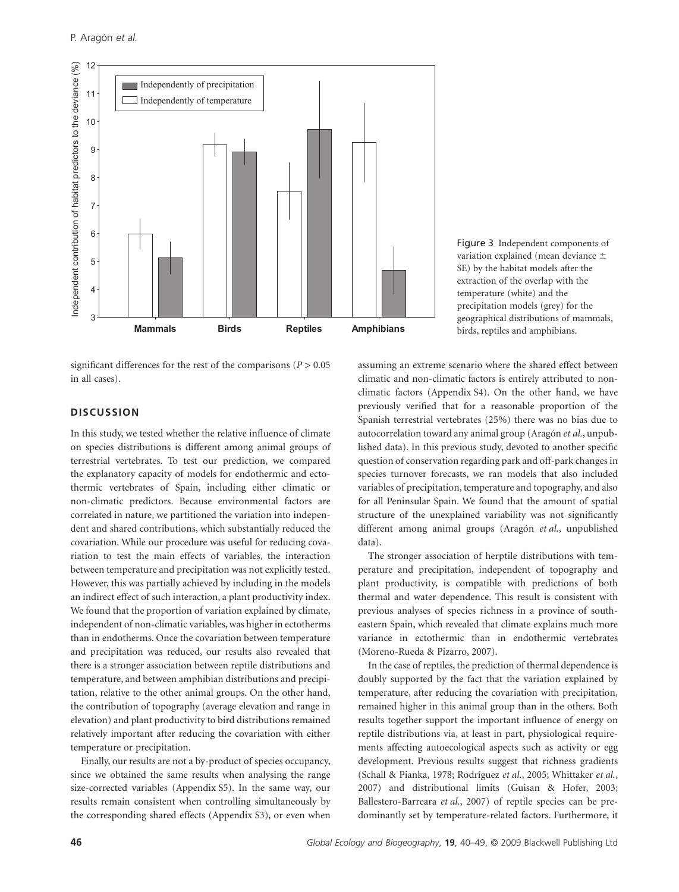

significant differences for the rest of the comparisons ( $P > 0.05$ ) in all cases).

## Figure 3 Independent components of variation explained (mean deviance  $\pm$ SE) by the habitat models after the extraction of the overlap with the temperature (white) and the precipitation models (grey) for the geographical distributions of mammals, birds, reptiles and amphibians.

# **DISCUSSION**

In this study, we tested whether the relative influence of climate on species distributions is different among animal groups of terrestrial vertebrates. To test our prediction, we compared the explanatory capacity of models for endothermic and ectothermic vertebrates of Spain, including either climatic or non-climatic predictors. Because environmental factors are correlated in nature, we partitioned the variation into independent and shared contributions, which substantially reduced the covariation. While our procedure was useful for reducing covariation to test the main effects of variables, the interaction between temperature and precipitation was not explicitly tested. However, this was partially achieved by including in the models an indirect effect of such interaction, a plant productivity index. We found that the proportion of variation explained by climate, independent of non-climatic variables, was higher in ectotherms than in endotherms. Once the covariation between temperature and precipitation was reduced, our results also revealed that there is a stronger association between reptile distributions and temperature, and between amphibian distributions and precipitation, relative to the other animal groups. On the other hand, the contribution of topography (average elevation and range in elevation) and plant productivity to bird distributions remained relatively important after reducing the covariation with either temperature or precipitation.

Finally, our results are not a by-product of species occupancy, since we obtained the same results when analysing the range size-corrected variables (Appendix S5). In the same way, our results remain consistent when controlling simultaneously by the corresponding shared effects (Appendix S3), or even when

assuming an extreme scenario where the shared effect between climatic and non-climatic factors is entirely attributed to nonclimatic factors (Appendix S4). On the other hand, we have previously verified that for a reasonable proportion of the Spanish terrestrial vertebrates (25%) there was no bias due to autocorrelation toward any animal group (Aragón *et al.*, unpublished data). In this previous study, devoted to another specific question of conservation regarding park and off-park changes in species turnover forecasts, we ran models that also included variables of precipitation, temperature and topography, and also for all Peninsular Spain. We found that the amount of spatial structure of the unexplained variability was not significantly different among animal groups (Aragón *et al.*, unpublished data).

The stronger association of herptile distributions with temperature and precipitation, independent of topography and plant productivity, is compatible with predictions of both thermal and water dependence. This result is consistent with previous analyses of species richness in a province of southeastern Spain, which revealed that climate explains much more variance in ectothermic than in endothermic vertebrates (Moreno-Rueda & Pizarro, 2007).

In the case of reptiles, the prediction of thermal dependence is doubly supported by the fact that the variation explained by temperature, after reducing the covariation with precipitation, remained higher in this animal group than in the others. Both results together support the important influence of energy on reptile distributions via, at least in part, physiological requirements affecting autoecological aspects such as activity or egg development. Previous results suggest that richness gradients (Schall & Pianka, 1978; Rodríguez *et al.*, 2005; Whittaker *et al.*, 2007) and distributional limits (Guisan & Hofer, 2003; Ballestero-Barreara *et al.*, 2007) of reptile species can be predominantly set by temperature-related factors. Furthermore, it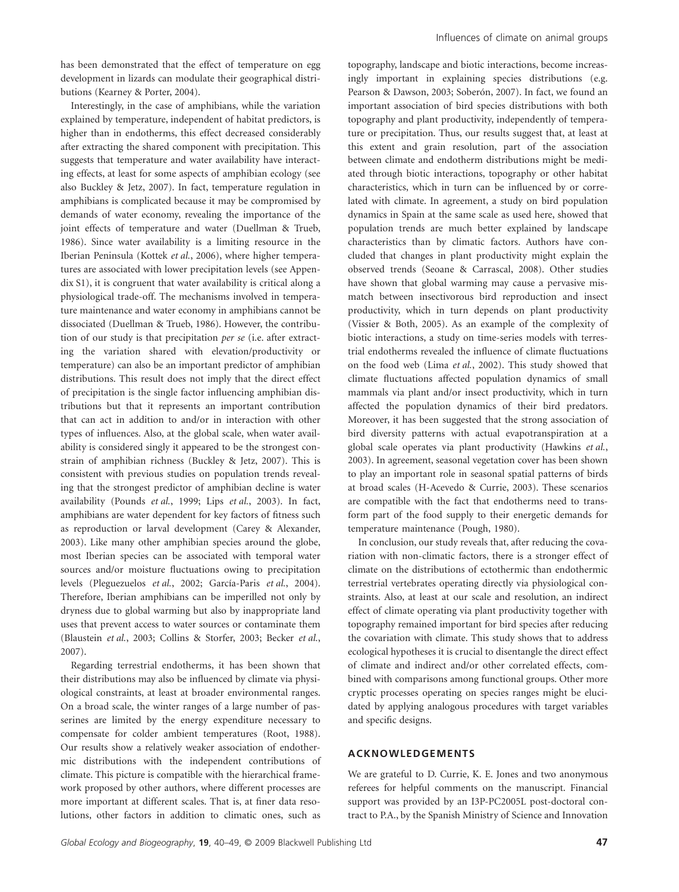has been demonstrated that the effect of temperature on egg development in lizards can modulate their geographical distributions (Kearney & Porter, 2004).

Interestingly, in the case of amphibians, while the variation explained by temperature, independent of habitat predictors, is higher than in endotherms, this effect decreased considerably after extracting the shared component with precipitation. This suggests that temperature and water availability have interacting effects, at least for some aspects of amphibian ecology (see also Buckley & Jetz, 2007). In fact, temperature regulation in amphibians is complicated because it may be compromised by demands of water economy, revealing the importance of the joint effects of temperature and water (Duellman & Trueb, 1986). Since water availability is a limiting resource in the Iberian Peninsula (Kottek *et al.*, 2006), where higher temperatures are associated with lower precipitation levels (see Appendix S1), it is congruent that water availability is critical along a physiological trade-off. The mechanisms involved in temperature maintenance and water economy in amphibians cannot be dissociated (Duellman & Trueb, 1986). However, the contribution of our study is that precipitation *per se* (i.e. after extracting the variation shared with elevation/productivity or temperature) can also be an important predictor of amphibian distributions. This result does not imply that the direct effect of precipitation is the single factor influencing amphibian distributions but that it represents an important contribution that can act in addition to and/or in interaction with other types of influences. Also, at the global scale, when water availability is considered singly it appeared to be the strongest constrain of amphibian richness (Buckley & Jetz, 2007). This is consistent with previous studies on population trends revealing that the strongest predictor of amphibian decline is water availability (Pounds *et al.*, 1999; Lips *et al.*, 2003). In fact, amphibians are water dependent for key factors of fitness such as reproduction or larval development (Carey & Alexander, 2003). Like many other amphibian species around the globe, most Iberian species can be associated with temporal water sources and/or moisture fluctuations owing to precipitation levels (Pleguezuelos *et al.*, 2002; García-Paris *et al.*, 2004). Therefore, Iberian amphibians can be imperilled not only by dryness due to global warming but also by inappropriate land uses that prevent access to water sources or contaminate them (Blaustein *et al.*, 2003; Collins & Storfer, 2003; Becker *et al.*, 2007).

Regarding terrestrial endotherms, it has been shown that their distributions may also be influenced by climate via physiological constraints, at least at broader environmental ranges. On a broad scale, the winter ranges of a large number of passerines are limited by the energy expenditure necessary to compensate for colder ambient temperatures (Root, 1988). Our results show a relatively weaker association of endothermic distributions with the independent contributions of climate. This picture is compatible with the hierarchical framework proposed by other authors, where different processes are more important at different scales. That is, at finer data resolutions, other factors in addition to climatic ones, such as topography, landscape and biotic interactions, become increasingly important in explaining species distributions (e.g. Pearson & Dawson, 2003; Soberón, 2007). In fact, we found an important association of bird species distributions with both topography and plant productivity, independently of temperature or precipitation. Thus, our results suggest that, at least at this extent and grain resolution, part of the association between climate and endotherm distributions might be mediated through biotic interactions, topography or other habitat characteristics, which in turn can be influenced by or correlated with climate. In agreement, a study on bird population dynamics in Spain at the same scale as used here, showed that population trends are much better explained by landscape characteristics than by climatic factors. Authors have concluded that changes in plant productivity might explain the observed trends (Seoane & Carrascal, 2008). Other studies have shown that global warming may cause a pervasive mismatch between insectivorous bird reproduction and insect productivity, which in turn depends on plant productivity (Vissier & Both, 2005). As an example of the complexity of biotic interactions, a study on time-series models with terrestrial endotherms revealed the influence of climate fluctuations on the food web (Lima *et al.*, 2002). This study showed that climate fluctuations affected population dynamics of small mammals via plant and/or insect productivity, which in turn affected the population dynamics of their bird predators. Moreover, it has been suggested that the strong association of bird diversity patterns with actual evapotranspiration at a global scale operates via plant productivity (Hawkins *et al.*, 2003). In agreement, seasonal vegetation cover has been shown to play an important role in seasonal spatial patterns of birds at broad scales (H-Acevedo & Currie, 2003). These scenarios are compatible with the fact that endotherms need to transform part of the food supply to their energetic demands for temperature maintenance (Pough, 1980).

In conclusion, our study reveals that, after reducing the covariation with non-climatic factors, there is a stronger effect of climate on the distributions of ectothermic than endothermic terrestrial vertebrates operating directly via physiological constraints. Also, at least at our scale and resolution, an indirect effect of climate operating via plant productivity together with topography remained important for bird species after reducing the covariation with climate. This study shows that to address ecological hypotheses it is crucial to disentangle the direct effect of climate and indirect and/or other correlated effects, combined with comparisons among functional groups. Other more cryptic processes operating on species ranges might be elucidated by applying analogous procedures with target variables and specific designs.

## **ACKNOWLEDGEMENTS**

We are grateful to D. Currie, K. E. Jones and two anonymous referees for helpful comments on the manuscript. Financial support was provided by an I3P-PC2005L post-doctoral contract to P.A., by the Spanish Ministry of Science and Innovation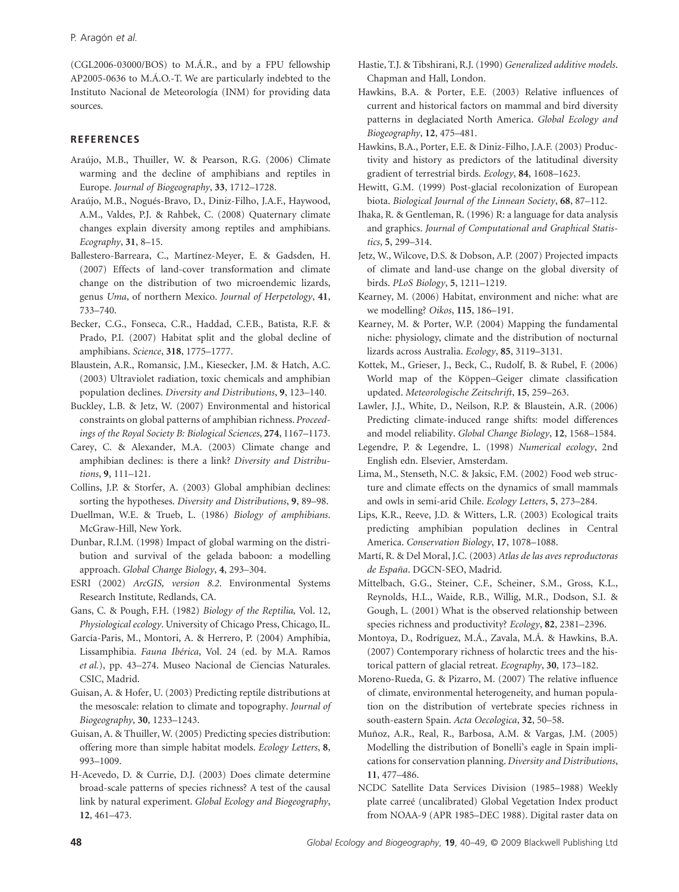(CGL2006-03000/BOS) to M.Á.R., and by a FPU fellowship AP2005-0636 to M.Á.O.-T. We are particularly indebted to the Instituto Nacional de Meteorología (INM) for providing data sources.

# **REFERENCES**

- Araújo, M.B., Thuiller, W. & Pearson, R.G. (2006) Climate warming and the decline of amphibians and reptiles in Europe. *Journal of Biogeography*, **33**, 1712–1728.
- Araújo, M.B., Nogués-Bravo, D., Diniz-Filho, J.A.F., Haywood, A.M., Valdes, P.J. & Rahbek, C. (2008) Quaternary climate changes explain diversity among reptiles and amphibians. *Ecography*, **31**, 8–15.
- Ballestero-Barreara, C., Martínez-Meyer, E. & Gadsden, H. (2007) Effects of land-cover transformation and climate change on the distribution of two microendemic lizards, genus *Uma*, of northern Mexico. *Journal of Herpetology*, **41**, 733–740.
- Becker, C.G., Fonseca, C.R., Haddad, C.F.B., Batista, R.F. & Prado, P.I. (2007) Habitat split and the global decline of amphibians. *Science*, **318**, 1775–1777.
- Blaustein, A.R., Romansic, J.M., Kiesecker, J.M. & Hatch, A.C. (2003) Ultraviolet radiation, toxic chemicals and amphibian population declines. *Diversity and Distributions*, **9**, 123–140.
- Buckley, L.B. & Jetz, W. (2007) Environmental and historical constraints on global patterns of amphibian richness. *Proceedings of the Royal Society B: Biological Sciences*, **274**, 1167–1173.
- Carey, C. & Alexander, M.A. (2003) Climate change and amphibian declines: is there a link? *Diversity and Distributions*, **9**, 111–121.
- Collins, J.P. & Storfer, A. (2003) Global amphibian declines: sorting the hypotheses. *Diversity and Distributions*, **9**, 89–98.
- Duellman, W.E. & Trueb, L. (1986) *Biology of amphibians*. McGraw-Hill, New York.
- Dunbar, R.I.M. (1998) Impact of global warming on the distribution and survival of the gelada baboon: a modelling approach. *Global Change Biology*, **4**, 293–304.
- ESRI (2002) *ArcGIS, version 8.2*. Environmental Systems Research Institute, Redlands, CA.
- Gans, C. & Pough, F.H. (1982) *Biology of the Reptilia,* Vol. 12, *Physiological ecology*. University of Chicago Press, Chicago, IL.
- García-Paris, M., Montori, A. & Herrero, P. (2004) Amphibia, Lissamphibia. *Fauna Ibérica*, Vol. 24 (ed. by M.A. Ramos *et al.*), pp. 43–274. Museo Nacional de Ciencias Naturales. CSIC, Madrid.
- Guisan, A. & Hofer, U. (2003) Predicting reptile distributions at the mesoscale: relation to climate and topography. *Journal of Biogeography*, **30**, 1233–1243.
- Guisan, A. & Thuiller, W. (2005) Predicting species distribution: offering more than simple habitat models. *Ecology Letters*, **8**, 993–1009.
- H-Acevedo, D. & Currie, D.J. (2003) Does climate determine broad-scale patterns of species richness? A test of the causal link by natural experiment. *Global Ecology and Biogeography*, **12**, 461–473.
- Hastie, T.J. & Tibshirani, R.J. (1990) *Generalized additive models*. Chapman and Hall, London.
- Hawkins, B.A. & Porter, E.E. (2003) Relative influences of current and historical factors on mammal and bird diversity patterns in deglaciated North America. *Global Ecology and Biogeography*, **12**, 475–481.
- Hawkins, B.A., Porter, E.E. & Diniz-Filho, J.A.F. (2003) Productivity and history as predictors of the latitudinal diversity gradient of terrestrial birds. *Ecology*, **84**, 1608–1623.
- Hewitt, G.M. (1999) Post-glacial recolonization of European biota. *Biological Journal of the Linnean Society*, **68**, 87–112.
- Ihaka, R. & Gentleman, R. (1996) R: a language for data analysis and graphics. *Journal of Computational and Graphical Statistics*, **5**, 299–314.
- Jetz, W., Wilcove, D.S. & Dobson, A.P. (2007) Projected impacts of climate and land-use change on the global diversity of birds. *PLoS Biology*, **5**, 1211–1219.
- Kearney, M. (2006) Habitat, environment and niche: what are we modelling? *Oikos*, **115**, 186–191.
- Kearney, M. & Porter, W.P. (2004) Mapping the fundamental niche: physiology, climate and the distribution of nocturnal lizards across Australia. *Ecology*, **85**, 3119–3131.
- Kottek, M., Grieser, J., Beck, C., Rudolf, B. & Rubel, F. (2006) World map of the Köppen–Geiger climate classification updated. *Meteorologische Zeitschrift*, **15**, 259–263.
- Lawler, J.J., White, D., Neilson, R.P. & Blaustein, A.R. (2006) Predicting climate-induced range shifts: model differences and model reliability. *Global Change Biology*, **12**, 1568–1584.
- Legendre, P. & Legendre, L. (1998) *Numerical ecology*, 2nd English edn. Elsevier, Amsterdam.
- Lima, M., Stenseth, N.C. & Jaksic, F.M. (2002) Food web structure and climate effects on the dynamics of small mammals and owls in semi-arid Chile. *Ecology Letters*, **5**, 273–284.
- Lips, K.R., Reeve, J.D. & Witters, L.R. (2003) Ecological traits predicting amphibian population declines in Central America. *Conservation Biology*, **17**, 1078–1088.
- Martí, R. & Del Moral, J.C. (2003) *Atlas de las aves reproductoras de España*. DGCN-SEO, Madrid.
- Mittelbach, G.G., Steiner, C.F., Scheiner, S.M., Gross, K.L., Reynolds, H.L., Waide, R.B., Willig, M.R., Dodson, S.I. & Gough, L. (2001) What is the observed relationship between species richness and productivity? *Ecology*, **82**, 2381–2396.
- Montoya, D., Rodríguez, M.Á., Zavala, M.Á. & Hawkins, B.A. (2007) Contemporary richness of holarctic trees and the historical pattern of glacial retreat. *Ecography*, **30**, 173–182.
- Moreno-Rueda, G. & Pizarro, M. (2007) The relative influence of climate, environmental heterogeneity, and human population on the distribution of vertebrate species richness in south-eastern Spain. *Acta Oecologica*, **32**, 50–58.
- Muñoz, A.R., Real, R., Barbosa, A.M. & Vargas, J.M. (2005) Modelling the distribution of Bonelli's eagle in Spain implications for conservation planning. *Diversity and Distributions*, **11**, 477–486.
- NCDC Satellite Data Services Division (1985–1988) Weekly plate carreé (uncalibrated) Global Vegetation Index product from NOAA-9 (APR 1985–DEC 1988). Digital raster data on